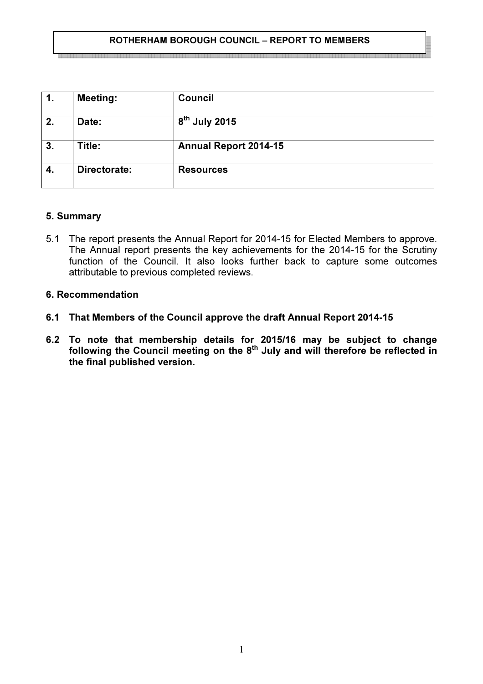#### ROTHERHAM BOROUGH COUNCIL – REPORT TO MEMBERS

| 1.               | <b>Meeting:</b> | <b>Council</b>               |
|------------------|-----------------|------------------------------|
| 2.               | Date:           | $8th$ July 2015              |
| $\overline{3}$ . | Title:          | <b>Annual Report 2014-15</b> |
| 4.               | Directorate:    | <b>Resources</b>             |

## 5. Summary

5.1 The report presents the Annual Report for 2014-15 for Elected Members to approve. The Annual report presents the key achievements for the 2014-15 for the Scrutiny function of the Council. It also looks further back to capture some outcomes attributable to previous completed reviews.

## 6. Recommendation

- 6.1 That Members of the Council approve the draft Annual Report 2014-15
- 6.2 To note that membership details for 2015/16 may be subject to change following the Council meeting on the  $8^{th}$  July and will therefore be reflected in the final published version.